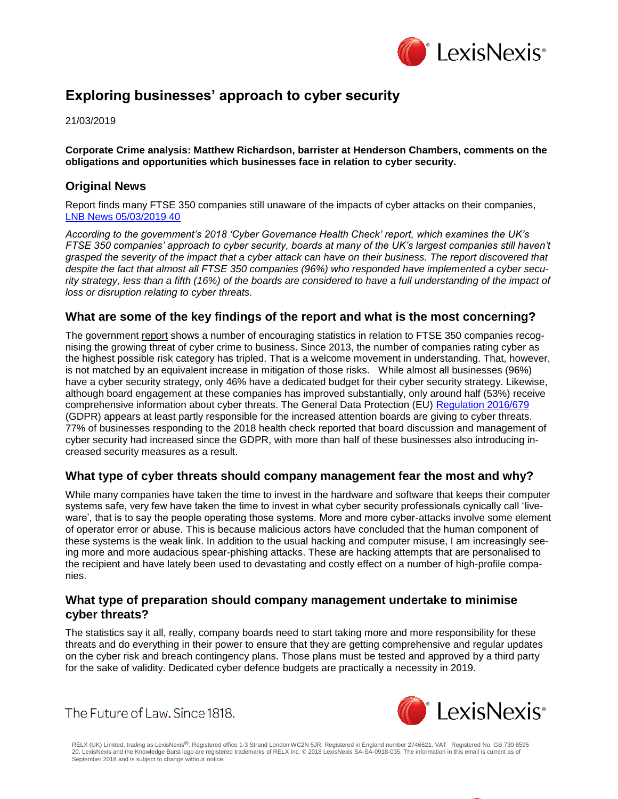

# **Exploring businesses' approach to cyber security**

21/03/2019

**Corporate Crime analysis: Matthew Richardson, barrister at Henderson Chambers, comments on the obligations and opportunities which businesses face in relation to cyber security.**

# **Original News**

Report finds many FTSE 350 companies still unaware of the impacts of cyber attacks on their companies, [LNB News 05/03/2019 40](https://www.lexisnexis.com/uk/lexispsl/corporatecrime/linkHandler.faces?ps=null&bct=A&homeCsi=412012&A=0.8032705621992414&urlEnc=ISO-8859-1&&remotekey1=DIGEST-CITATION(LNB%20News%2005/03/2019%2040)&remotekey2=All%20Subscribed%20Current%20Awareness%20Sources&dpsi=0S4D&cmd=f:exp&service=QUERY&origdpsi=0S4D)

*According to the government's 2018 'Cyber Governance Health Check' report, which examines the UK's FTSE 350 companies' approach to cyber security, boards at many of the UK's largest companies still haven't grasped the severity of the impact that a cyber attack can have on their business. The report discovered that despite the fact that almost all FTSE 350 companies (96%) who responded have implemented a cyber secu*rity strategy, less than a fifth (16%) of the boards are considered to have a full understanding of the impact of *loss or disruption relating to cyber threats.* 

## **What are some of the key findings of the report and what is the most concerning?**

The government report shows a number of encouraging statistics in relation to FTSE 350 companies recognising the growing threat of cyber crime to business. Since 2013, the number of companies rating cyber as the highest possible risk category has tripled. That is a welcome movement in understanding. That, however, is not matched by an equivalent increase in mitigation of those risks. While almost all businesses (96%) have a cyber security strategy, only 46% have a dedicated budget for their cyber security strategy. Likewise, although board engagement at these companies has improved substantially, only around half (53%) receive comprehensive information about cyber threats. The General Data Protection (EU) [Regulation 2016/679](https://www.lexisnexis.com/uk/lexispsl/corporatecrime/citationlinkHandler.faces?bct=A&service=citation&risb=&EU_REG&$num!%2532016R0679%25) (GDPR) appears at least partly responsible for the increased attention boards are giving to cyber threats. 77% of businesses responding to the 2018 health check reported that board discussion and management of cyber security had increased since the GDPR, with more than half of these businesses also introducing increased security measures as a result.

# **What type of cyber threats should company management fear the most and why?**

While many companies have taken the time to invest in the hardware and software that keeps their computer systems safe, very few have taken the time to invest in what cyber security professionals cynically call 'liveware', that is to say the people operating those systems. More and more cyber-attacks involve some element of operator error or abuse. This is because malicious actors have concluded that the human component of these systems is the weak link. In addition to the usual hacking and computer misuse, I am increasingly seeing more and more audacious spear-phishing attacks. These are hacking attempts that are personalised to the recipient and have lately been used to devastating and costly effect on a number of high-profile companies.

#### **What type of preparation should company management undertake to minimise cyber threats?**

The statistics say it all, really, company boards need to start taking more and more responsibility for these threats and do everything in their power to ensure that they are getting comprehensive and regular updates on the cyber risk and breach contingency plans. Those plans must be tested and approved by a third party for the sake of validity. Dedicated cyber defence budgets are practically a necessity in 2019.

The Future of Law. Since 1818.



RELX (UK) Limited, trading as LexisNexis®. Registered office 1-3 Strand London WC2N 5JR. Registered in England number 2746621. VAT Registered No. GB 730 8595 20. LexisNexis and the Knowledge Burst logo are registered trademarks of RELX Inc. © 2018 LexisNexis SA-SA-0918-035. The information in this email is current as of September 2018 and is subject to change without notice.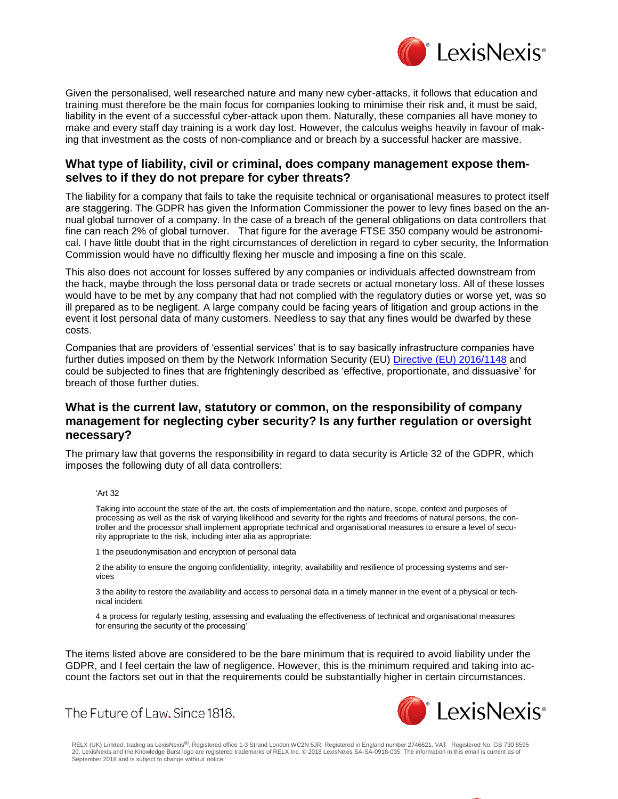

Given the personalised, well researched nature and many new cyber-attacks, it follows that education and training must therefore be the main focus for companies looking to minimise their risk and, it must be said, liability in the event of a successful cyber-attack upon them. Naturally, these companies all have money to make and every staff day training is a work day lost. However, the calculus weighs heavily in favour of making that investment as the costs of non-compliance and or breach by a successful hacker are massive.

## **What type of liability, civil or criminal, does company management expose themselves to if they do not prepare for cyber threats?**

The liability for a company that fails to take the requisite technical or organisational measures to protect itself are staggering. The GDPR has given the Information Commissioner the power to levy fines based on the annual global turnover of a company. In the case of a breach of the general obligations on data controllers that fine can reach 2% of global turnover. That figure for the average FTSE 350 company would be astronomical. I have little doubt that in the right circumstances of dereliction in regard to cyber security, the Information Commission would have no difficultly flexing her muscle and imposing a fine on this scale.

This also does not account for losses suffered by any companies or individuals affected downstream from the hack, maybe through the loss personal data or trade secrets or actual monetary loss. All of these losses would have to be met by any company that had not complied with the regulatory duties or worse yet, was so ill prepared as to be negligent. A large company could be facing years of litigation and group actions in the event it lost personal data of many customers. Needless to say that any fines would be dwarfed by these costs.

Companies that are providers of 'essential services' that is to say basically infrastructure companies have further duties imposed on them by the Network Information Security (EU) [Directive \(EU\) 2016/1148](https://www.lexisnexis.com/uk/lexispsl/corporatecrime/citationlinkHandler.faces?bct=A&service=citation&risb=&EU_DIR&$num!%2532016L1148%25) and could be subjected to fines that are frighteningly described as 'effective, proportionate, and dissuasive' for breach of those further duties.

## **What is the current law, statutory or common, on the responsibility of company management for neglecting cyber security? Is any further regulation or oversight necessary?**

The primary law that governs the responsibility in regard to data security is Article 32 of the GDPR, which imposes the following duty of all data controllers:

#### 'Art 32

Taking into account the state of the art, the costs of implementation and the nature, scope, context and purposes of processing as well as the risk of varying likelihood and severity for the rights and freedoms of natural persons, the controller and the processor shall implement appropriate technical and organisational measures to ensure a level of security appropriate to the risk, including inter alia as appropriate:

1 the pseudonymisation and encryption of personal data

The Future of Law. Since 1818.

2 the ability to ensure the ongoing confidentiality, integrity, availability and resilience of processing systems and services

3 the ability to restore the availability and access to personal data in a timely manner in the event of a physical or technical incident

4 a process for regularly testing, assessing and evaluating the effectiveness of technical and organisational measures for ensuring the security of the processing'

The items listed above are considered to be the bare minimum that is required to avoid liability under the GDPR, and I feel certain the law of negligence. However, this is the minimum required and taking into account the factors set out in that the requirements could be substantially higher in certain circumstances.



RELX (UK) Limited, trading as LexisNexis®. Registered office 1-3 Strand London WC2N 5JR. Registered in England number 2746621. VAT Registered No. GB 730 8595 20. LexisNexis and the Knowledge Burst logo are registered trademarks of RELX Inc. © 2018 LexisNexis SA-SA-0918-035. The information in this email is current as of September 2018 and is subject to change without notice.